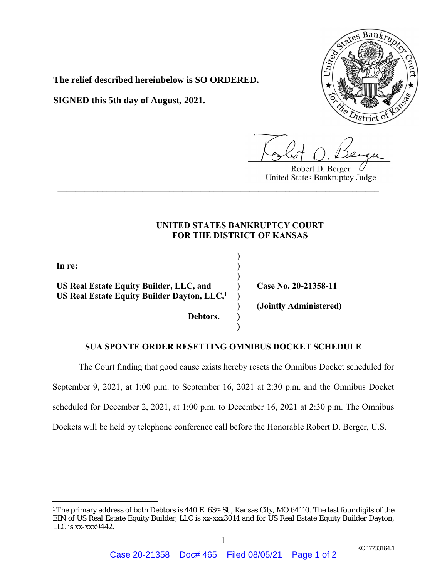

**The relief described hereinbelow is SO ORDERED.**

**SIGNED this 5th day of August, 2021.**

Robert D. Berger United States Bankruptcy Judge

## **UNITED STATES BANKRUPTCY COURT FOR THE DISTRICT OF KANSAS**

**\_\_\_\_\_\_\_\_\_\_\_\_\_\_\_\_\_\_\_\_\_\_\_\_\_\_\_\_\_\_\_\_\_\_\_\_\_\_\_\_\_\_\_\_\_\_\_\_\_\_\_\_\_\_\_\_\_\_\_\_\_\_\_\_\_\_\_\_\_\_\_\_**

**) ) ) ) ) ) )** 

**In re:** 

 $\overline{a}$ 

**US Real Estate Equity Builder, LLC, and US Real Estate Equity Builder Dayton, LLC,1**

 **)** 

 **Debtors.** 

**Case No. 20-21358-11** 

**(Jointly Administered)** 

## **SUA SPONTE ORDER RESETTING OMNIBUS DOCKET SCHEDULE**

The Court finding that good cause exists hereby resets the Omnibus Docket scheduled for September 9, 2021, at 1:00 p.m. to September 16, 2021 at 2:30 p.m. and the Omnibus Docket scheduled for December 2, 2021, at 1:00 p.m. to December 16, 2021 at 2:30 p.m. The Omnibus Dockets will be held by telephone conference call before the Honorable Robert D. Berger, U.S.

<sup>&</sup>lt;sup>1</sup> The primary address of both Debtors is 440 E. 63<sup>rd</sup> St., Kansas City, MO 64110. The last four digits of the EIN of US Real Estate Equity Builder, LLC is xx-xxx3014 and for US Real Estate Equity Builder Dayton, LLC is xx-xxx9442.